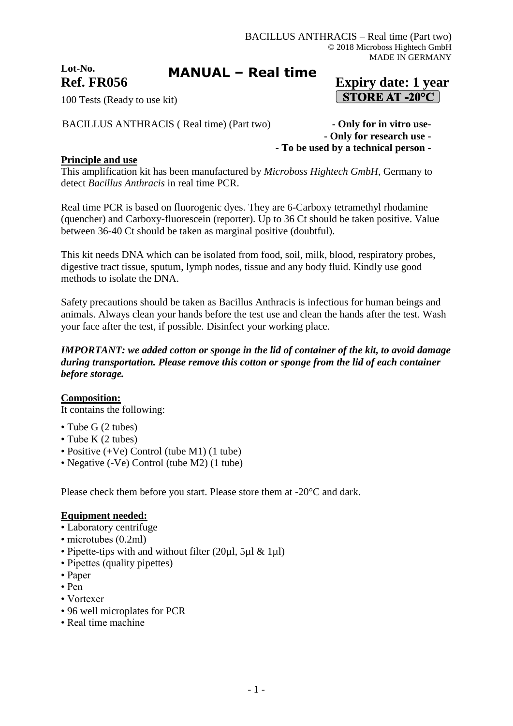# **Lot-No.**

# **MANUAL – Real time**

# **Ref. FR056 Expiry date: 1 year** STORE AT -20°C

100 Tests (Ready to use kit)

BACILLUS ANTHRACIS ( Real time) (Part two) **- Only for in vitro use-**

**- Only for research use - - To be used by a technical person -**

# **Principle and use**

This amplification kit has been manufactured by *Microboss Hightech GmbH*, Germany to detect *Bacillus Anthracis* in real time PCR.

Real time PCR is based on fluorogenic dyes. They are 6-Carboxy tetramethyl rhodamine (quencher) and Carboxy-fluorescein (reporter). Up to 36 Ct should be taken positive. Value between 36-40 Ct should be taken as marginal positive (doubtful).

This kit needs DNA which can be isolated from food, soil, milk, blood, respiratory probes, digestive tract tissue, sputum, lymph nodes, tissue and any body fluid. Kindly use good methods to isolate the DNA.

Safety precautions should be taken as Bacillus Anthracis is infectious for human beings and animals. Always clean your hands before the test use and clean the hands after the test. Wash your face after the test, if possible. Disinfect your working place.

### *IMPORTANT: we added cotton or sponge in the lid of container of the kit, to avoid damage during transportation. Please remove this cotton or sponge from the lid of each container before storage.*

# **Composition:**

It contains the following:

- Tube G (2 tubes)
- Tube K (2 tubes)
- Positive (+Ve) Control (tube M1) (1 tube)
- Negative (-Ve) Control (tube M2) (1 tube)

Please check them before you start. Please store them at -20°C and dark.

#### **Equipment needed:**

- Laboratory centrifuge
- microtubes (0.2ml)
- Pipette-tips with and without filter  $(20\mu l, 5\mu l \& 1\mu l)$
- Pipettes (quality pipettes)
- Paper
- Pen
- Vortexer
- 96 well microplates for PCR
- Real time machine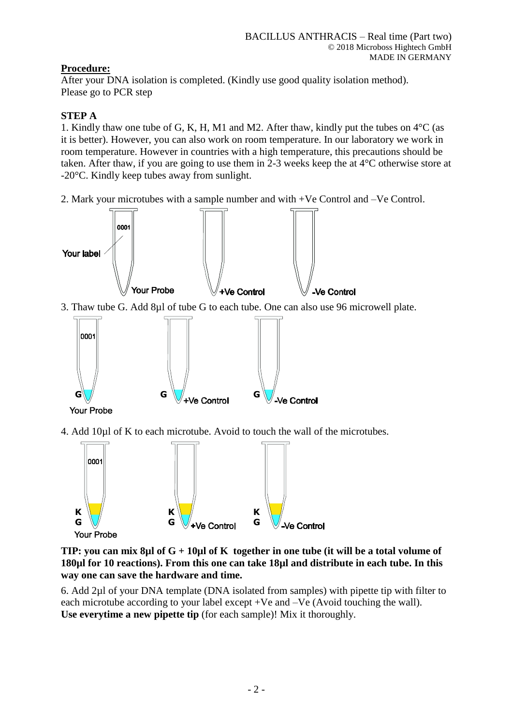# **Procedure:**

After your DNA isolation is completed. (Kindly use good quality isolation method). Please go to PCR step

# **STEP A**

1. Kindly thaw one tube of G, K, H, M1 and M2. After thaw, kindly put the tubes on 4°C (as it is better). However, you can also work on room temperature. In our laboratory we work in room temperature. However in countries with a high temperature, this precautions should be taken. After thaw, if you are going to use them in 2-3 weeks keep the at 4°C otherwise store at -20°C. Kindly keep tubes away from sunlight.

2. Mark your microtubes with a sample number and with +Ve Control and –Ve Control.



4. Add 10µl of K to each microtube. Avoid to touch the wall of the microtubes.



**TIP: you can mix 8µl of G + 10µl of K together in one tube (it will be a total volume of 180µl for 10 reactions). From this one can take 18µl and distribute in each tube. In this way one can save the hardware and time.**

6. Add 2µl of your DNA template (DNA isolated from samples) with pipette tip with filter to each microtube according to your label except +Ve and –Ve (Avoid touching the wall). **Use everytime a new pipette tip** (for each sample)! Mix it thoroughly.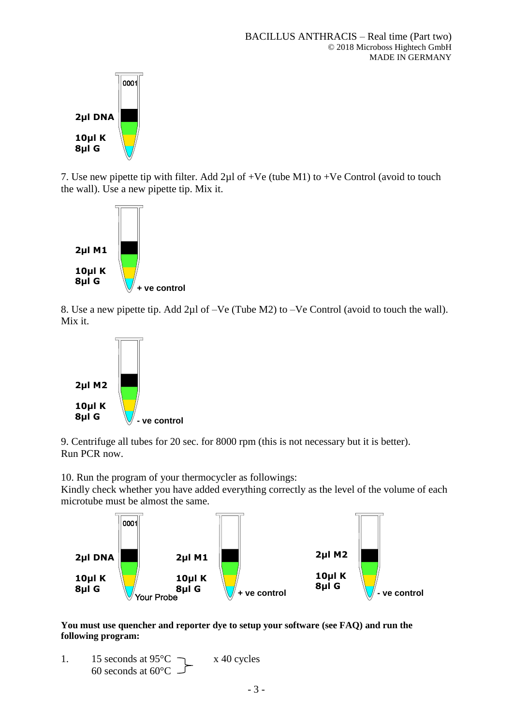

7. Use new pipette tip with filter. Add  $2\mu$ l of +Ve (tube M1) to +Ve Control (avoid to touch the wall). Use a new pipette tip. Mix it.



8. Use a new pipette tip. Add 2µl of –Ve (Tube M2) to –Ve Control (avoid to touch the wall). Mix it.



9. Centrifuge all tubes for 20 sec. for 8000 rpm (this is not necessary but it is better). Run PCR now.

10. Run the program of your thermocycler as followings:

Kindly check whether you have added everything correctly as the level of the volume of each microtube must be almost the same.



**You must use quencher and reporter dye to setup your software (see FAQ) and run the following program:**

1. 15 seconds at  $95^{\circ}$ C  $\rightarrow x$  40 cycles 60 seconds at  $60^{\circ}$ C  $-$